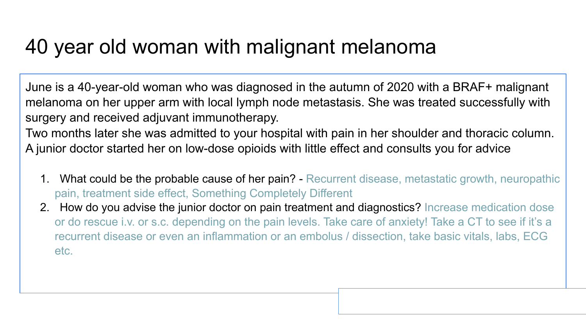## 40 year old woman with malignant melanoma

June is a 40-year-old woman who was diagnosed in the autumn of 2020 with a BRAF+ malignant melanoma on her upper arm with local lymph node metastasis. She was treated successfully with surgery and received adjuvant immunotherapy.

Two months later she was admitted to your hospital with pain in her shoulder and thoracic column. A junior doctor started her on low-dose opioids with little effect and consults you for advice

- 1. What could be the probable cause of her pain? Recurrent disease, metastatic growth, neuropathic pain, treatment side effect, Something Completely Different
- 2. How do you advise the junior doctor on pain treatment and diagnostics? Increase medication dose or do rescue i.v. or s.c. depending on the pain levels. Take care of anxiety! Take a CT to see if it's a recurrent disease or even an inflammation or an embolus / dissection, take basic vitals, labs, ECG etc.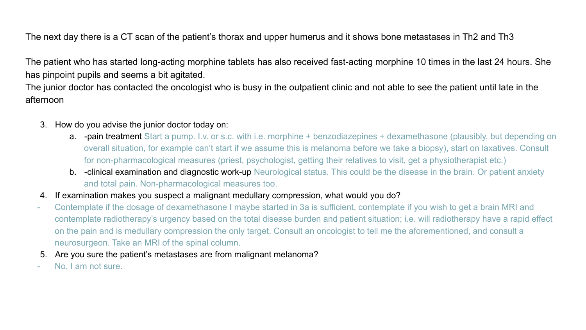The next day there is a CT scan of the patient's thorax and upper humerus and it shows bone metastases in Th2 and Th3

The patient who has started long-acting morphine tablets has also received fast-acting morphine 10 times in the last 24 hours. She has pinpoint pupils and seems a bit agitated.

The junior doctor has contacted the oncologist who is busy in the outpatient clinic and not able to see the patient until late in the afternoon

- 3. How do you advise the junior doctor today on:
	- a. -pain treatment Start a pump. I.v. or s.c. with i.e. morphine + benzodiazepines + dexamethasone (plausibly, but depending on overall situation, for example can't start if we assume this is melanoma before we take a biopsy), start on laxatives. Consult for non-pharmacological measures (priest, psychologist, getting their relatives to visit, get a physiotherapist etc.)
	- **b.** -clinical examination and diagnostic work-up Neurological status. This could be the disease in the brain. Or patient anxiety and total pain. Non-pharmacological measures too.
- 4. If examination makes you suspect a malignant medullary compression, what would you do?
- Contemplate if the dosage of dexamethasone I maybe started in 3a is sufficient, contemplate if you wish to get a brain MRI and contemplate radiotherapy's urgency based on the total disease burden and patient situation; i.e. will radiotherapy have a rapid effect on the pain and is medullary compression the only target. Consult an oncologist to tell me the aforementioned, and consult a neurosurgeon. Take an MRI of the spinal column.
- 5. Are you sure the patient's metastases are from malignant melanoma?
- No, I am not sure.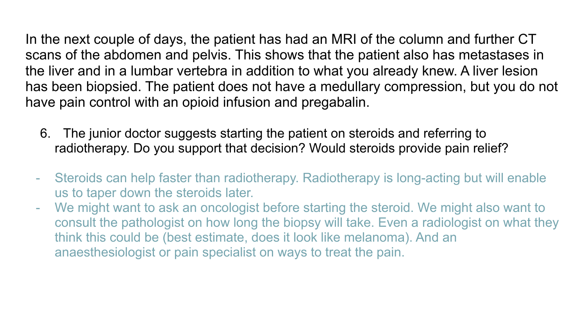In the next couple of days, the patient has had an MRI of the column and further CT scans of the abdomen and pelvis. This shows that the patient also has metastases in the liver and in a lumbar vertebra in addition to what you already knew. A liver lesion has been biopsied. The patient does not have a medullary compression, but you do not have pain control with an opioid infusion and pregabalin.

- 6. The junior doctor suggests starting the patient on steroids and referring to radiotherapy. Do you support that decision? Would steroids provide pain relief?
- Steroids can help faster than radiotherapy. Radiotherapy is long-acting but will enable us to taper down the steroids later.
- We might want to ask an oncologist before starting the steroid. We might also want to consult the pathologist on how long the biopsy will take. Even a radiologist on what they think this could be (best estimate, does it look like melanoma). And an anaesthesiologist or pain specialist on ways to treat the pain.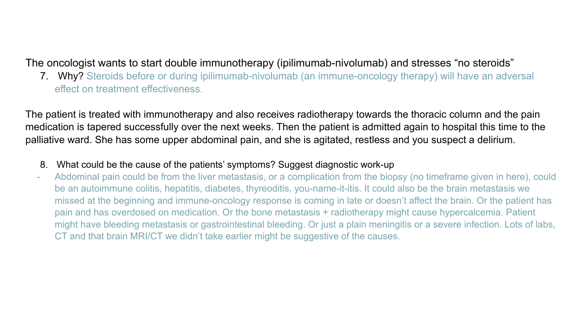## The oncologist wants to start double immunotherapy (ipilimumab-nivolumab) and stresses "no steroids"

7. Why? Steroids before or during ipilimumab-nivolumab (an immune-oncology therapy) will have an adversal effect on treatment effectiveness.

The patient is treated with immunotherapy and also receives radiotherapy towards the thoracic column and the pain medication is tapered successfully over the next weeks. Then the patient is admitted again to hospital this time to the palliative ward. She has some upper abdominal pain, and she is agitated, restless and you suspect a delirium.

- 8. What could be the cause of the patients' symptoms? Suggest diagnostic work-up
- Abdominal pain could be from the liver metastasis, or a complication from the biopsy (no timeframe given in here), could be an autoimmune colitis, hepatitis, diabetes, thyreoditis, you-name-it-itis. It could also be the brain metastasis we missed at the beginning and immune-oncology response is coming in late or doesn't affect the brain. Or the patient has pain and has overdosed on medication. Or the bone metastasis + radiotherapy might cause hypercalcemia. Patient might have bleeding metastasis or gastrointestinal bleeding. Or just a plain meningitis or a severe infection. Lots of labs, CT and that brain MRI/CT we didn't take earlier might be suggestive of the causes.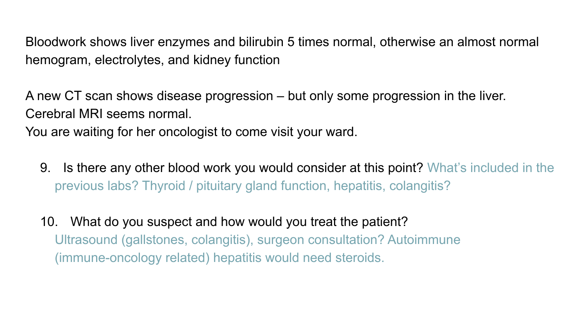Bloodwork shows liver enzymes and bilirubin 5 times normal, otherwise an almost normal hemogram, electrolytes, and kidney function

A new CT scan shows disease progression – but only some progression in the liver. Cerebral MRI seems normal.

You are waiting for her oncologist to come visit your ward.

- 9. Is there any other blood work you would consider at this point? What's included in the previous labs? Thyroid / pituitary gland function, hepatitis, colangitis?
- 10. What do you suspect and how would you treat the patient? Ultrasound (gallstones, colangitis), surgeon consultation? Autoimmune (immune-oncology related) hepatitis would need steroids.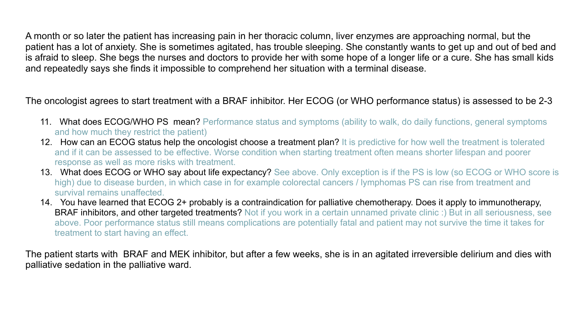A month or so later the patient has increasing pain in her thoracic column, liver enzymes are approaching normal, but the patient has a lot of anxiety. She is sometimes agitated, has trouble sleeping. She constantly wants to get up and out of bed and is afraid to sleep. She begs the nurses and doctors to provide her with some hope of a longer life or a cure. She has small kids and repeatedly says she finds it impossible to comprehend her situation with a terminal disease.

The oncologist agrees to start treatment with a BRAF inhibitor. Her ECOG (or WHO performance status) is assessed to be 2-3

- 11. What does ECOG/WHO PS mean? Performance status and symptoms (ability to walk, do daily functions, general symptoms and how much they restrict the patient)
- 12. How can an ECOG status help the oncologist choose a treatment plan? It is predictive for how well the treatment is tolerated and if it can be assessed to be effective. Worse condition when starting treatment often means shorter lifespan and poorer response as well as more risks with treatment.
- 13. What does ECOG or WHO say about life expectancy? See above. Only exception is if the PS is low (so ECOG or WHO score is high) due to disease burden, in which case in for example colorectal cancers / lymphomas PS can rise from treatment and survival remains unaffected.
- 14. You have learned that ECOG 2+ probably is a contraindication for palliative chemotherapy. Does it apply to immunotherapy, **BRAF inhibitors, and other targeted treatments?** Not if you work in a certain unnamed private clinic :) But in all seriousness, see above. Poor performance status still means complications are potentially fatal and patient may not survive the time it takes for treatment to start having an effect.

The patient starts with BRAF and MEK inhibitor, but after a few weeks, she is in an agitated irreversible delirium and dies with palliative sedation in the palliative ward.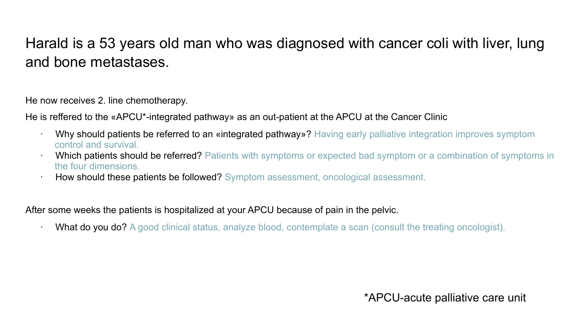## Harald is a 53 years old man who was diagnosed with cancer coli with liver, lung and bone metastases.

He now receives 2. line chemotherapy.

He is reffered to the «APCU\*-integrated pathway» as an out-patient at the APCU at the Cancer Clinic

- · Why should patients be referred to an «integrated pathway»? Having early palliative integration improves symptom control and survival.
- Which patients should be referred? Patients with symptoms or expected bad symptom or a combination of symptoms in the four dimensions.
- · How should these patients be followed? Symptom assessment, oncological assessment.

After some weeks the patients is hospitalized at your APCU because of pain in the pelvic.

· What do you do? A good clinical status, analyze blood, contemplate a scan (consult the treating oncologist).

\*APCU-acute palliative care unit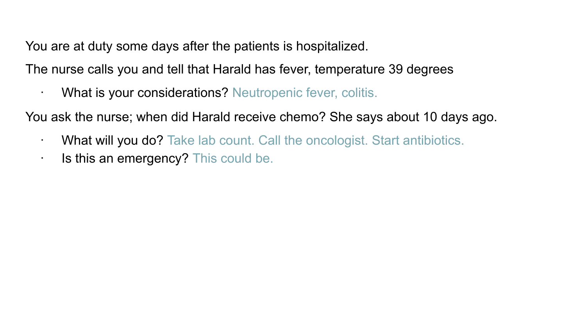You are at duty some days after the patients is hospitalized.

The nurse calls you and tell that Harald has fever, temperature 39 degrees

· What is your considerations? Neutropenic fever, colitis.

You ask the nurse; when did Harald receive chemo? She says about 10 days ago.

- · What will you do? Take lab count. Call the oncologist. Start antibiotics.
- · Is this an emergency? This could be.